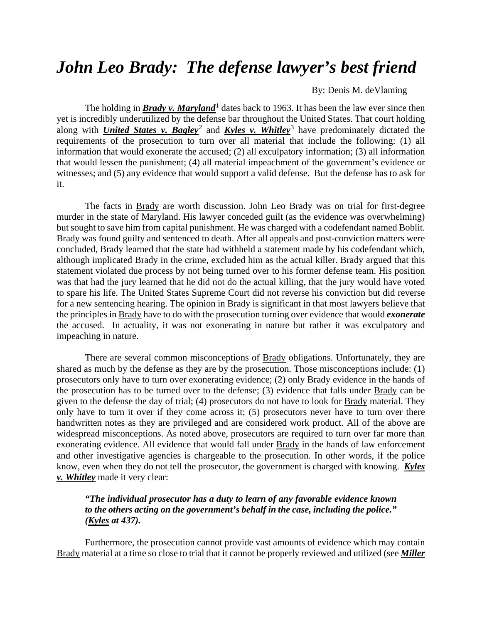## *John Leo Brady: The defense lawyer's best friend*

## By: Denis M. deVlaming

The holding in **Brady v. Maryland**<sup>[1](#page-4-0)</sup> dates back to 1963. It has been the law ever since then yet is incredibly underutilized by the defense bar throughout the United States. That court holding along with *United States v. Bagley*[2](#page-4-1) and *Kyles v. Whitley*[3](#page-4-2) have predominately dictated the requirements of the prosecution to turn over all material that include the following: (1) all information that would exonerate the accused; (2) all exculpatory information; (3) all information that would lessen the punishment; (4) all material impeachment of the government's evidence or witnesses; and (5) any evidence that would support a valid defense. But the defense has to ask for it.

The facts in Brady are worth discussion. John Leo Brady was on trial for first-degree murder in the state of Maryland. His lawyer conceded guilt (as the evidence was overwhelming) but sought to save him from capital punishment. He was charged with a codefendant named Boblit. Brady was found guilty and sentenced to death. After all appeals and post-conviction matters were concluded, Brady learned that the state had withheld a statement made by his codefendant which, although implicated Brady in the crime, excluded him as the actual killer. Brady argued that this statement violated due process by not being turned over to his former defense team. His position was that had the jury learned that he did not do the actual killing, that the jury would have voted to spare his life. The United States Supreme Court did not reverse his conviction but did reverse for a new sentencing hearing. The opinion in Brady is significant in that most lawyers believe that the principles in Brady have to do with the prosecution turning over evidence that would *exonerate* the accused. In actuality, it was not exonerating in nature but rather it was exculpatory and impeaching in nature.

There are several common misconceptions of Brady obligations. Unfortunately, they are shared as much by the defense as they are by the prosecution. Those misconceptions include: (1) prosecutors only have to turn over exonerating evidence; (2) only Brady evidence in the hands of the prosecution has to be turned over to the defense; (3) evidence that falls under Brady can be given to the defense the day of trial; (4) prosecutors do not have to look for Brady material. They only have to turn it over if they come across it; (5) prosecutors never have to turn over there handwritten notes as they are privileged and are considered work product. All of the above are widespread misconceptions. As noted above, prosecutors are required to turn over far more than exonerating evidence. All evidence that would fall under **Brady** in the hands of law enforcement and other investigative agencies is chargeable to the prosecution. In other words, if the police know, even when they do not tell the prosecutor, the government is charged with knowing. *Kyles v. Whitley* made it very clear:

## *"The individual prosecutor has a duty to learn of any favorable evidence known to the others acting on the government's behalf in the case, including the police." (Kyles at 437).*

Furthermore, the prosecution cannot provide vast amounts of evidence which may contain Brady material at a time so close to trial that it cannot be properly reviewed and utilized (see *Miller*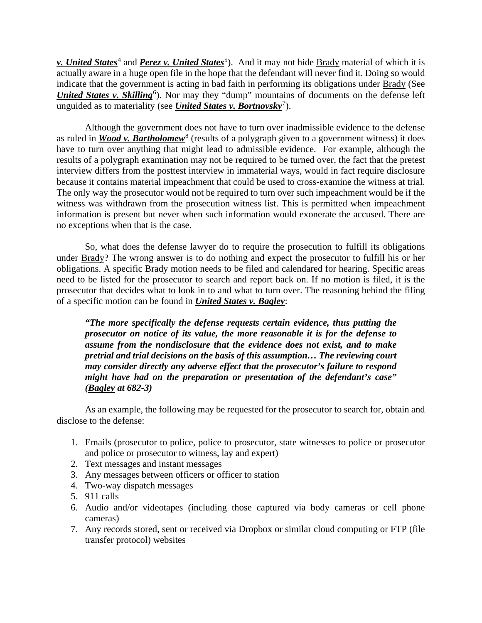**v. United States**<sup>[4](#page-4-3)</sup> and *Perez v. United States*<sup>[5](#page-4-4)</sup>). And it may not hide <u>Brady</u> material of which it is actually aware in a huge open file in the hope that the defendant will never find it. Doing so would indicate that the government is acting in bad faith in performing its obligations under Brady (See *United States v. Skilling*<sup>[6](#page-4-5)</sup>). Nor may they "dump" mountains of documents on the defense left unguided as to materiality (see *United States v. Bortnovsky*[7](#page-4-6) ).

Although the government does not have to turn over inadmissible evidence to the defense as ruled in *Wood v. Bartholomew*<sup>[8](#page-4-7)</sup> (results of a polygraph given to a government witness) it does have to turn over anything that might lead to admissible evidence. For example, although the results of a polygraph examination may not be required to be turned over, the fact that the pretest interview differs from the posttest interview in immaterial ways, would in fact require disclosure because it contains material impeachment that could be used to cross-examine the witness at trial. The only way the prosecutor would not be required to turn over such impeachment would be if the witness was withdrawn from the prosecution witness list. This is permitted when impeachment information is present but never when such information would exonerate the accused. There are no exceptions when that is the case.

So, what does the defense lawyer do to require the prosecution to fulfill its obligations under Brady? The wrong answer is to do nothing and expect the prosecutor to fulfill his or her obligations. A specific Brady motion needs to be filed and calendared for hearing. Specific areas need to be listed for the prosecutor to search and report back on. If no motion is filed, it is the prosecutor that decides what to look in to and what to turn over. The reasoning behind the filing of a specific motion can be found in *United States v. Bagley*:

*"The more specifically the defense requests certain evidence, thus putting the prosecutor on notice of its value, the more reasonable it is for the defense to assume from the nondisclosure that the evidence does not exist, and to make pretrial and trial decisions on the basis of this assumption… The reviewing court may consider directly any adverse effect that the prosecutor's failure to respond might have had on the preparation or presentation of the defendant's case" (Bagley at 682-3)*

As an example, the following may be requested for the prosecutor to search for, obtain and disclose to the defense:

- 1. Emails (prosecutor to police, police to prosecutor, state witnesses to police or prosecutor and police or prosecutor to witness, lay and expert)
- 2. Text messages and instant messages
- 3. Any messages between officers or officer to station
- 4. Two-way dispatch messages
- 5. 911 calls
- 6. Audio and/or videotapes (including those captured via body cameras or cell phone cameras)
- 7. Any records stored, sent or received via Dropbox or similar cloud computing or FTP (file transfer protocol) websites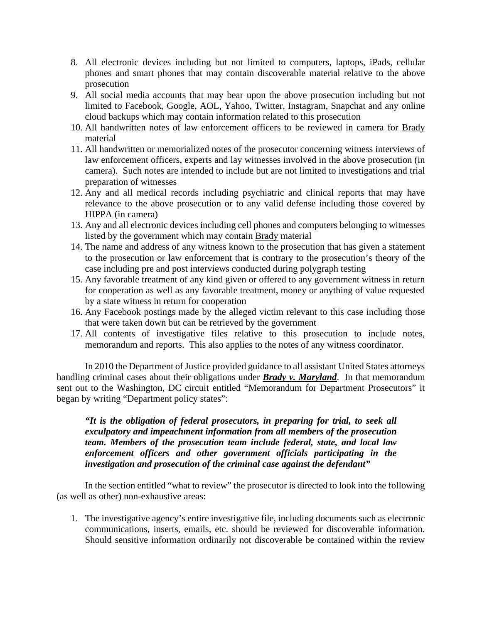- 8. All electronic devices including but not limited to computers, laptops, iPads, cellular phones and smart phones that may contain discoverable material relative to the above prosecution
- 9. All social media accounts that may bear upon the above prosecution including but not limited to Facebook, Google, AOL, Yahoo, Twitter, Instagram, Snapchat and any online cloud backups which may contain information related to this prosecution
- 10. All handwritten notes of law enforcement officers to be reviewed in camera for Brady material
- 11. All handwritten or memorialized notes of the prosecutor concerning witness interviews of law enforcement officers, experts and lay witnesses involved in the above prosecution (in camera). Such notes are intended to include but are not limited to investigations and trial preparation of witnesses
- 12. Any and all medical records including psychiatric and clinical reports that may have relevance to the above prosecution or to any valid defense including those covered by HIPPA (in camera)
- 13. Any and all electronic devices including cell phones and computers belonging to witnesses listed by the government which may contain Brady material
- 14. The name and address of any witness known to the prosecution that has given a statement to the prosecution or law enforcement that is contrary to the prosecution's theory of the case including pre and post interviews conducted during polygraph testing
- 15. Any favorable treatment of any kind given or offered to any government witness in return for cooperation as well as any favorable treatment, money or anything of value requested by a state witness in return for cooperation
- 16. Any Facebook postings made by the alleged victim relevant to this case including those that were taken down but can be retrieved by the government
- 17. All contents of investigative files relative to this prosecution to include notes, memorandum and reports. This also applies to the notes of any witness coordinator.

In 2010 the Department of Justice provided guidance to all assistant United States attorneys handling criminal cases about their obligations under *Brady v. Maryland*. In that memorandum sent out to the Washington, DC circuit entitled "Memorandum for Department Prosecutors" it began by writing "Department policy states":

*"It is the obligation of federal prosecutors, in preparing for trial, to seek all exculpatory and impeachment information from all members of the prosecution team. Members of the prosecution team include federal, state, and local law enforcement officers and other government officials participating in the investigation and prosecution of the criminal case against the defendant"*

In the section entitled "what to review" the prosecutor is directed to look into the following (as well as other) non-exhaustive areas:

1. The investigative agency's entire investigative file, including documents such as electronic communications, inserts, emails, etc. should be reviewed for discoverable information. Should sensitive information ordinarily not discoverable be contained within the review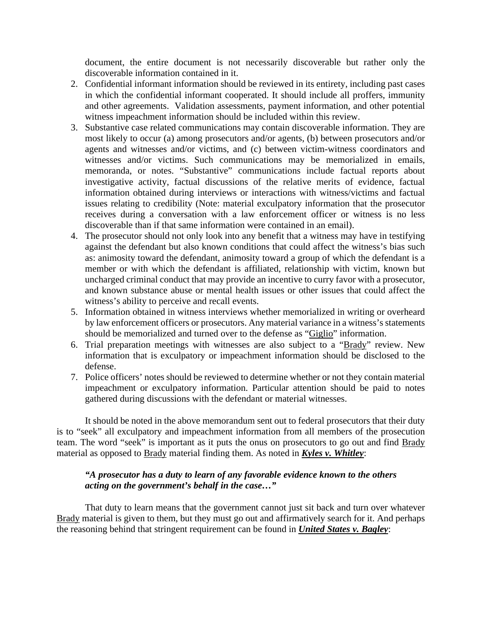document, the entire document is not necessarily discoverable but rather only the discoverable information contained in it.

- 2. Confidential informant information should be reviewed in its entirety, including past cases in which the confidential informant cooperated. It should include all proffers, immunity and other agreements. Validation assessments, payment information, and other potential witness impeachment information should be included within this review.
- 3. Substantive case related communications may contain discoverable information. They are most likely to occur (a) among prosecutors and/or agents, (b) between prosecutors and/or agents and witnesses and/or victims, and (c) between victim-witness coordinators and witnesses and/or victims. Such communications may be memorialized in emails, memoranda, or notes. "Substantive" communications include factual reports about investigative activity, factual discussions of the relative merits of evidence, factual information obtained during interviews or interactions with witness/victims and factual issues relating to credibility (Note: material exculpatory information that the prosecutor receives during a conversation with a law enforcement officer or witness is no less discoverable than if that same information were contained in an email).
- 4. The prosecutor should not only look into any benefit that a witness may have in testifying against the defendant but also known conditions that could affect the witness's bias such as: animosity toward the defendant, animosity toward a group of which the defendant is a member or with which the defendant is affiliated, relationship with victim, known but uncharged criminal conduct that may provide an incentive to curry favor with a prosecutor, and known substance abuse or mental health issues or other issues that could affect the witness's ability to perceive and recall events.
- 5. Information obtained in witness interviews whether memorialized in writing or overheard by law enforcement officers or prosecutors. Any material variance in a witness's statements should be memorialized and turned over to the defense as "Giglio" information.
- 6. Trial preparation meetings with witnesses are also subject to a "Brady" review. New information that is exculpatory or impeachment information should be disclosed to the defense.
- 7. Police officers' notes should be reviewed to determine whether or not they contain material impeachment or exculpatory information. Particular attention should be paid to notes gathered during discussions with the defendant or material witnesses.

It should be noted in the above memorandum sent out to federal prosecutors that their duty is to "seek" all exculpatory and impeachment information from all members of the prosecution team. The word "seek" is important as it puts the onus on prosecutors to go out and find Brady material as opposed to Brady material finding them. As noted in *Kyles v. Whitley*:

## *"A prosecutor has a duty to learn of any favorable evidence known to the others acting on the government's behalf in the case…"*

That duty to learn means that the government cannot just sit back and turn over whatever Brady material is given to them, but they must go out and affirmatively search for it. And perhaps the reasoning behind that stringent requirement can be found in *United States v. Bagley*: